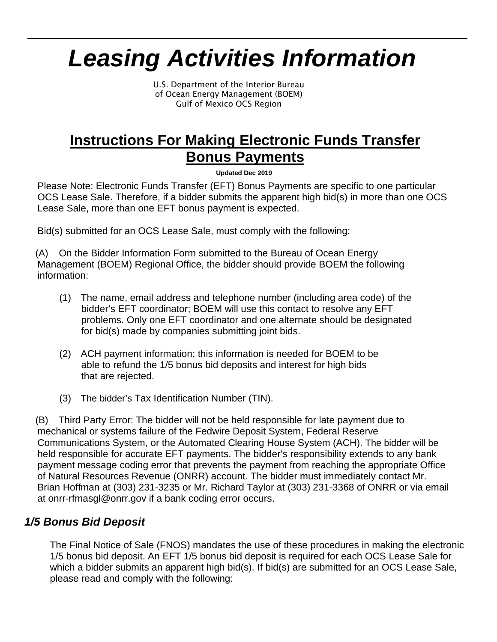# *Leasing Activities Information*

U.S. Department of the Interior Bureau of Ocean Energy Management (BOEM) Gulf of Mexico OCS Region

# **Instructions For Making Electronic Funds Transfer Bonus Payments**

**Updated Dec 2019**

Please Note: Electronic Funds Transfer (EFT) Bonus Payments are specific to one particular OCS Lease Sale. Therefore, if a bidder submits the apparent high bid(s) in more than one OCS Lease Sale, more than one EFT bonus payment is expected.

Bid(s) submitted for an OCS Lease Sale, must comply with the following:

(A) On the Bidder Information Form submitted to the Bureau of Ocean Energy Management (BOEM) Regional Office, the bidder should provide BOEM the following information:

- (1) The name, email address and telephone number (including area code) of the bidder's EFT coordinator; BOEM will use this contact to resolve any EFT problems. Only one EFT coordinator and one alternate should be designated for bid(s) made by companies submitting joint bids.
- (2) ACH payment information; this information is needed for BOEM to be able to refund the 1/5 bonus bid deposits and interest for high bids that are rejected.
- (3) The bidder's Tax Identification Number (TIN).

(B) Third Party Error: The bidder will not be held responsible for late payment due to mechanical or systems failure of the Fedwire Deposit System, Federal Reserve Communications System, or the Automated Clearing House System (ACH). The bidder will be held responsible for accurate EFT payments. The bidder's responsibility extends to any bank payment message coding error that prevents the payment from reaching the appropriate Office of Natural Resources Revenue (ONRR) account. The bidder must immediately contact Mr. Brian Hoffman at (303) 231-3235 or Mr. Richard Taylor at (303) 231-3368 of ONRR or via email at [onrr-rfmasgl@onrr.gov](mailto:onrr-rfmasgl@onrr.gov) if a bank coding error occurs.

# *1/5 Bonus Bid Deposit*

The Final Notice of Sale (FNOS) mandates the use of these procedures in making the electronic 1/5 bonus bid deposit. An EFT 1/5 bonus bid deposit is required for each OCS Lease Sale for which a bidder submits an apparent high bid(s). If bid(s) are submitted for an OCS Lease Sale, please read and comply with the following: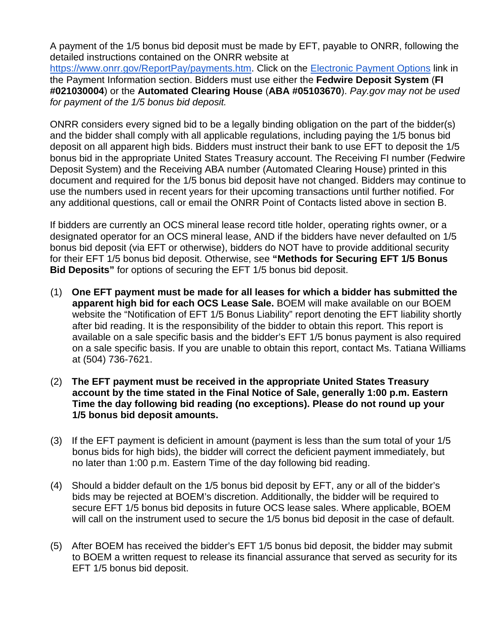A payment of the 1/5 bonus bid deposit must be made by EFT, payable to ONRR, following the detailed instructions contained on the ONRR website at [https://www.onrr.gov/ReportPay/payments.htm.](https://www.onrr.gov/ReportPay/payments.htm) Click on the [Electronic Payment Options](https://www.onrr.gov/ReportPay/payments.htm#EPO) link in the Payment Information section. Bidders must use either the **Fedwire Deposit System** (**FI #021030004**) or the **Automated Clearing House** (**ABA #05103670**). *Pay.gov may not be used for payment of the 1/5 bonus bid deposit.*

ONRR considers every signed bid to be a legally binding obligation on the part of the bidder(s) and the bidder shall comply with all applicable regulations, including paying the 1/5 bonus bid deposit on all apparent high bids. Bidders must instruct their bank to use EFT to deposit the 1/5 bonus bid in the appropriate United States Treasury account. The Receiving FI number (Fedwire Deposit System) and the Receiving ABA number (Automated Clearing House) printed in this document and required for the 1/5 bonus bid deposit have not changed. Bidders may continue to use the numbers used in recent years for their upcoming transactions until further notified. For any additional questions, call or email the ONRR Point of Contacts listed above in section B.

If bidders are currently an OCS mineral lease record title holder, operating rights owner, or a designated operator for an OCS mineral lease, AND if the bidders have never defaulted on 1/5 bonus bid deposit (via EFT or otherwise), bidders do NOT have to provide additional security for their EFT 1/5 bonus bid deposit. Otherwise, see **"Methods for Securing EFT 1/5 Bonus Bid Deposits"** for options of securing the EFT 1/5 bonus bid deposit.

- (1) **One EFT payment must be made for all leases for which a bidder has submitted the apparent high bid for each OCS Lease Sale.** BOEM will make available on our BOEM website the "Notification of EFT 1/5 Bonus Liability" report denoting the EFT liability shortly after bid reading. It is the responsibility of the bidder to obtain this report. This report is available on a sale specific basis and the bidder's EFT 1/5 bonus payment is also required on a sale specific basis. If you are unable to obtain this report, contact Ms. Tatiana Williams at (504) 736-7621.
- (2) **The EFT payment must be received in the appropriate United States Treasury account by the time stated in the Final Notice of Sale, generally 1:00 p.m. Eastern Time the day following bid reading (no exceptions). Please do not round up your 1/5 bonus bid deposit amounts.**
- (3) If the EFT payment is deficient in amount (payment is less than the sum total of your 1/5 bonus bids for high bids), the bidder will correct the deficient payment immediately, but no later than 1:00 p.m. Eastern Time of the day following bid reading.
- (4) Should a bidder default on the 1/5 bonus bid deposit by EFT, any or all of the bidder's bids may be rejected at BOEM's discretion. Additionally, the bidder will be required to secure EFT 1/5 bonus bid deposits in future OCS lease sales. Where applicable, BOEM will call on the instrument used to secure the 1/5 bonus bid deposit in the case of default.
- (5) After BOEM has received the bidder's EFT 1/5 bonus bid deposit, the bidder may submit to BOEM a written request to release its financial assurance that served as security for its EFT 1/5 bonus bid deposit.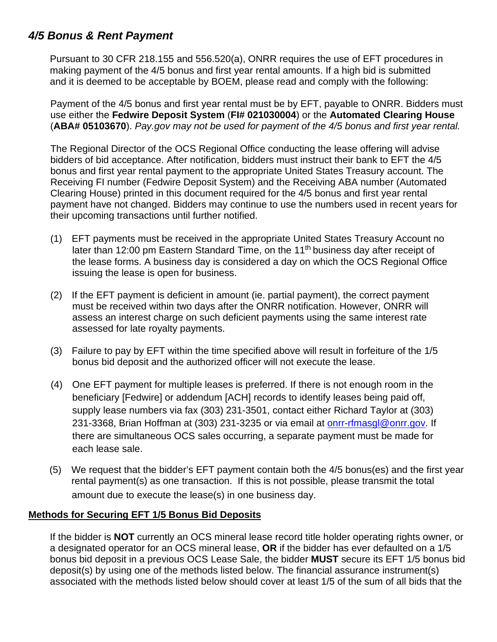# *4/5 Bonus & Rent Payment*

Pursuant to 30 CFR 218.155 and 556.520(a), ONRR requires the use of EFT procedures in making payment of the 4/5 bonus and first year rental amounts. If a high bid is submitted and it is deemed to be acceptable by BOEM, please read and comply with the following:

Payment of the 4/5 bonus and first year rental must be by EFT, payable to ONRR. Bidders must use either the **Fedwire Deposit System** (**FI# 021030004**) or the **Automated Clearing House**  (**ABA# 05103670**). *Pay.gov may not be used for payment of the 4/5 bonus and first year rental.*

The Regional Director of the OCS Regional Office conducting the lease offering will advise bidders of bid acceptance. After notification, bidders must instruct their bank to EFT the 4/5 bonus and first year rental payment to the appropriate United States Treasury account. The Receiving FI number (Fedwire Deposit System) and the Receiving ABA number (Automated Clearing House) printed in this document required for the 4/5 bonus and first year rental payment have not changed. Bidders may continue to use the numbers used in recent years for their upcoming transactions until further notified.

- (1) EFT payments must be received in the appropriate United States Treasury Account no later than 12:00 pm Eastern Standard Time, on the 11<sup>th</sup> business day after receipt of the lease forms. A business day is considered a day on which the OCS Regional Office issuing the lease is open for business.
- (2) If the EFT payment is deficient in amount (ie. partial payment), the correct payment must be received within two days after the ONRR notification. However, ONRR will assess an interest charge on such deficient payments using the same interest rate assessed for late royalty payments.
- (3) Failure to pay by EFT within the time specified above will result in forfeiture of the 1/5 bonus bid deposit and the authorized officer will not execute the lease.
- (4) One EFT payment for multiple leases is preferred. If there is not enough room in the beneficiary [Fedwire] or addendum [ACH] records to identify leases being paid off, supply lease numbers via fax (303) 231-3501, contact either Richard Taylor at (303) 231-3368, Brian Hoffman at (303) 231-3235 or via email at [onrr-rfmasgl@onrr.gov.](mailto:onrr-rfmasgl@onrr.gov) If there are simultaneous OCS sales occurring, a separate payment must be made for each lease sale.
- (5) We request that the bidder's EFT payment contain both the 4/5 bonus(es) and the first year rental payment(s) as one transaction. If this is not possible, please transmit the total amount due to execute the lease(s) in one business day.

#### **Methods for Securing EFT 1/5 Bonus Bid Deposits**

If the bidder is **NOT** currently an OCS mineral lease record title holder operating rights owner, or a designated operator for an OCS mineral lease, **OR** if the bidder has ever defaulted on a 1/5 bonus bid deposit in a previous OCS Lease Sale, the bidder **MUST** secure its EFT 1/5 bonus bid deposit(s) by using one of the methods listed below. The financial assurance instrument(s) associated with the methods listed below should cover at least 1/5 of the sum of all bids that the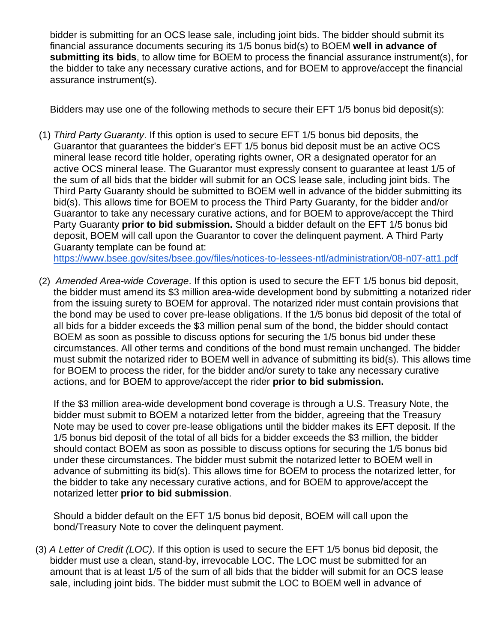bidder is submitting for an OCS lease sale, including joint bids. The bidder should submit its financial assurance documents securing its 1/5 bonus bid(s) to BOEM **well in advance of submitting its bids**, to allow time for BOEM to process the financial assurance instrument(s), for the bidder to take any necessary curative actions, and for BOEM to approve/accept the financial assurance instrument(s).

Bidders may use one of the following methods to secure their EFT 1/5 bonus bid deposit(s):

(1) *Third Party Guaranty*. If this option is used to secure EFT 1/5 bonus bid deposits, the Guarantor that guarantees the bidder's EFT 1/5 bonus bid deposit must be an active OCS mineral lease record title holder, operating rights owner, OR a designated operator for an active OCS mineral lease. The Guarantor must expressly consent to guarantee at least 1/5 of the sum of all bids that the bidder will submit for an OCS lease sale, including joint bids. The Third Party Guaranty should be submitted to BOEM well in advance of the bidder submitting its bid(s). This allows time for BOEM to process the Third Party Guaranty, for the bidder and/or Guarantor to take any necessary curative actions, and for BOEM to approve/accept the Third Party Guaranty **prior to bid submission.** Should a bidder default on the EFT 1/5 bonus bid deposit, BOEM will call upon the Guarantor to cover the delinquent payment. A Third Party Guaranty template can be found at:

<https://www.bsee.gov/sites/bsee.gov/files/notices-to-lessees-ntl/administration/08-n07-att1.pdf>

(2) *Amended Area-wide Coverage*. If this option is used to secure the EFT 1/5 bonus bid deposit, the bidder must amend its \$3 million area-wide development bond by submitting a notarized rider from the issuing surety to BOEM for approval. The notarized rider must contain provisions that the bond may be used to cover pre-lease obligations. If the 1/5 bonus bid deposit of the total of all bids for a bidder exceeds the \$3 million penal sum of the bond, the bidder should contact BOEM as soon as possible to discuss options for securing the 1/5 bonus bid under these circumstances. All other terms and conditions of the bond must remain unchanged. The bidder must submit the notarized rider to BOEM well in advance of submitting its bid(s). This allows time for BOEM to process the rider, for the bidder and/or surety to take any necessary curative actions, and for BOEM to approve/accept the rider **prior to bid submission.**

If the \$3 million area-wide development bond coverage is through a U.S. Treasury Note, the bidder must submit to BOEM a notarized letter from the bidder, agreeing that the Treasury Note may be used to cover pre-lease obligations until the bidder makes its EFT deposit. If the 1/5 bonus bid deposit of the total of all bids for a bidder exceeds the \$3 million, the bidder should contact BOEM as soon as possible to discuss options for securing the 1/5 bonus bid under these circumstances. The bidder must submit the notarized letter to BOEM well in advance of submitting its bid(s). This allows time for BOEM to process the notarized letter, for the bidder to take any necessary curative actions, and for BOEM to approve/accept the notarized letter **prior to bid submission**.

Should a bidder default on the EFT 1/5 bonus bid deposit, BOEM will call upon the bond/Treasury Note to cover the delinquent payment.

(3) *A Letter of Credit (LOC)*. If this option is used to secure the EFT 1/5 bonus bid deposit, the bidder must use a clean, stand-by, irrevocable LOC. The LOC must be submitted for an amount that is at least 1/5 of the sum of all bids that the bidder will submit for an OCS lease sale, including joint bids. The bidder must submit the LOC to BOEM well in advance of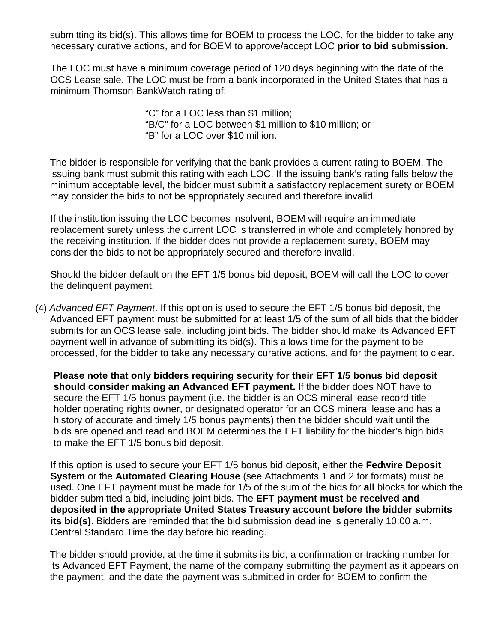submitting its bid(s). This allows time for BOEM to process the LOC, for the bidder to take any necessary curative actions, and for BOEM to approve/accept LOC **prior to bid submission.**

The LOC must have a minimum coverage period of 120 days beginning with the date of the OCS Lease sale. The LOC must be from a bank incorporated in the United States that has a minimum Thomson BankWatch rating of:

> "C" for a LOC less than \$1 million; "B/C" for a LOC between \$1 million to \$10 million; or "B" for a LOC over \$10 million.

The bidder is responsible for verifying that the bank provides a current rating to BOEM. The issuing bank must submit this rating with each LOC. If the issuing bank's rating falls below the minimum acceptable level, the bidder must submit a satisfactory replacement surety or BOEM may consider the bids to not be appropriately secured and therefore invalid.

If the institution issuing the LOC becomes insolvent, BOEM will require an immediate replacement surety unless the current LOC is transferred in whole and completely honored by the receiving institution. If the bidder does not provide a replacement surety, BOEM may consider the bids to not be appropriately secured and therefore invalid.

Should the bidder default on the EFT 1/5 bonus bid deposit, BOEM will call the LOC to cover the delinquent payment.

(4) *Advanced EFT Payment*. If this option is used to secure the EFT 1/5 bonus bid deposit, the Advanced EFT payment must be submitted for at least 1/5 of the sum of all bids that the bidder submits for an OCS lease sale, including joint bids. The bidder should make its Advanced EFT payment well in advance of submitting its bid(s). This allows time for the payment to be processed, for the bidder to take any necessary curative actions, and for the payment to clear.

**Please note that only bidders requiring security for their EFT 1/5 bonus bid deposit should consider making an Advanced EFT payment.** If the bidder does NOT have to secure the EFT 1/5 bonus payment (i.e. the bidder is an OCS mineral lease record title holder operating rights owner, or designated operator for an OCS mineral lease and has a history of accurate and timely 1/5 bonus payments) then the bidder should wait until the bids are opened and read and BOEM determines the EFT liability for the bidder's high bids to make the EFT 1/5 bonus bid deposit.

If this option is used to secure your EFT 1/5 bonus bid deposit, either the **Fedwire Deposit System** or the **Automated Clearing House** (see Attachments 1 and 2 for formats) must be used. One EFT payment must be made for 1/5 of the sum of the bids for **all** blocks for which the bidder submitted a bid, including joint bids. The **EFT payment must be received and deposited in the appropriate United States Treasury account before the bidder submits its bid(s)**. Bidders are reminded that the bid submission deadline is generally 10:00 a.m. Central Standard Time the day before bid reading.

 The bidder should provide, at the time it submits its bid, a confirmation or tracking number for its Advanced EFT Payment, the name of the company submitting the payment as it appears on the payment, and the date the payment was submitted in order for BOEM to confirm the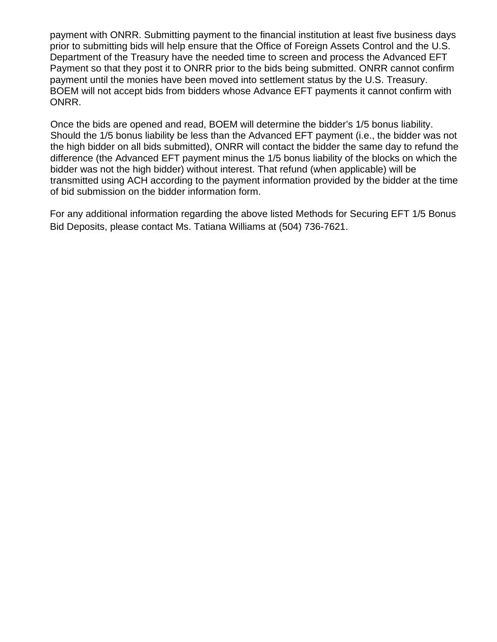payment with ONRR. Submitting payment to the financial institution at least five business days prior to submitting bids will help ensure that the Office of Foreign Assets Control and the U.S. Department of the Treasury have the needed time to screen and process the Advanced EFT Payment so that they post it to ONRR prior to the bids being submitted. ONRR cannot confirm payment until the monies have been moved into settlement status by the U.S. Treasury. BOEM will not accept bids from bidders whose Advance EFT payments it cannot confirm with ONRR.

Once the bids are opened and read, BOEM will determine the bidder's 1/5 bonus liability. Should the 1/5 bonus liability be less than the Advanced EFT payment (i.e., the bidder was not the high bidder on all bids submitted), ONRR will contact the bidder the same day to refund the difference (the Advanced EFT payment minus the 1/5 bonus liability of the blocks on which the bidder was not the high bidder) without interest. That refund (when applicable) will be transmitted using ACH according to the payment information provided by the bidder at the time of bid submission on the bidder information form.

For any additional information regarding the above listed Methods for Securing EFT 1/5 Bonus Bid Deposits, please contact Ms. Tatiana Williams at (504) 736-7621.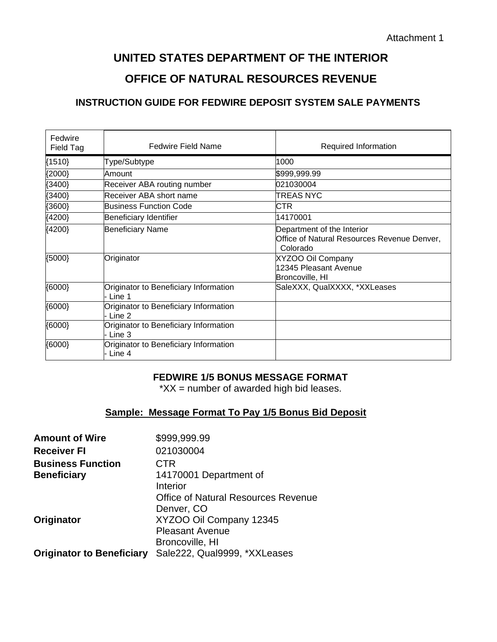# **UNITED STATES DEPARTMENT OF THE INTERIOR OFFICE OF NATURAL RESOURCES REVENUE**

### **INSTRUCTION GUIDE FOR FEDWIRE DEPOSIT SYSTEM SALE PAYMENTS**

| Fedwire<br>Field Tag | <b>Fedwire Field Name</b>                         | Required Information                                                                  |
|----------------------|---------------------------------------------------|---------------------------------------------------------------------------------------|
| ${1510}$             | Type/Subtype                                      | 1000                                                                                  |
| ${2000}$             | Amount                                            | \$999,999.99                                                                          |
| {3400}               | Receiver ABA routing number                       | 021030004                                                                             |
| ${3400}$             | Receiver ABA short name                           | <b>TREAS NYC</b>                                                                      |
| ${3600}$             | Business Function Code                            | CTR                                                                                   |
| ${4200}$             | Beneficiary Identifier                            | 14170001                                                                              |
| ${4200}$             | <b>Beneficiary Name</b>                           | Department of the Interior<br>Office of Natural Resources Revenue Denver,<br>Colorado |
| ${5000}$             | Originator                                        | XYZOO Oil Company<br>12345 Pleasant Avenue<br>Broncoville, HI                         |
| (6000)               | Originator to Beneficiary Information<br>- Line 1 | SaleXXX, QualXXXX, *XXLeases                                                          |
| ${6000}$             | Originator to Beneficiary Information<br>- Line 2 |                                                                                       |
| ${6000}$             | Originator to Beneficiary Information<br>- Line 3 |                                                                                       |
| ${6000}$             | Originator to Beneficiary Information<br>- Line 4 |                                                                                       |

#### **FEDWIRE 1/5 BONUS MESSAGE FORMAT**

 $*XX$  = number of awarded high bid leases.

#### **Sample: Message Format To Pay 1/5 Bonus Bid Deposit**

| <b>Amount of Wire</b>            | \$999,999.99                               |
|----------------------------------|--------------------------------------------|
| <b>Receiver FI</b>               | 021030004                                  |
| <b>Business Function</b>         | CTR                                        |
| <b>Beneficiary</b>               | 14170001 Department of                     |
|                                  | Interior                                   |
|                                  | <b>Office of Natural Resources Revenue</b> |
|                                  | Denver, CO                                 |
| Originator                       | XYZOO Oil Company 12345                    |
|                                  | <b>Pleasant Avenue</b>                     |
|                                  | Broncoville, HI                            |
| <b>Originator to Beneficiary</b> | Sale222, Qual9999, *XXLeases               |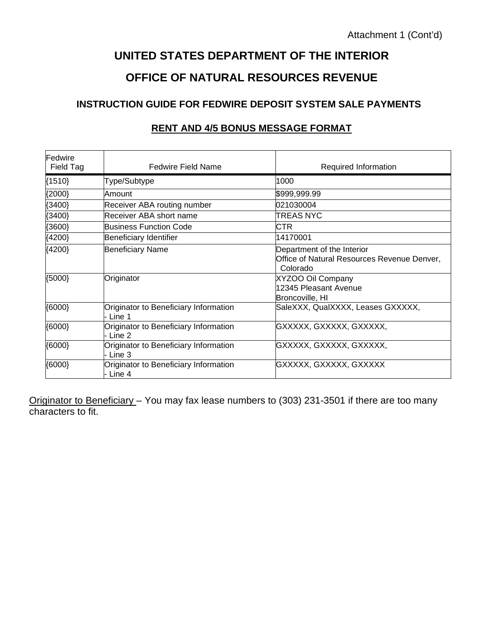# **UNITED STATES DEPARTMENT OF THE INTERIOR OFFICE OF NATURAL RESOURCES REVENUE**

## **INSTRUCTION GUIDE FOR FEDWIRE DEPOSIT SYSTEM SALE PAYMENTS**

| Fedwire<br>Field Tag | <b>Fedwire Field Name</b>                       | Required Information                                                                  |
|----------------------|-------------------------------------------------|---------------------------------------------------------------------------------------|
| ${1510}$             | Type/Subtype                                    | 1000                                                                                  |
| ${2000}$             | Amount                                          | \$999,999.99                                                                          |
| ${3400}$             | Receiver ABA routing number                     | 021030004                                                                             |
| ${3400}$             | Receiver ABA short name                         | TREAS NYC                                                                             |
| ${3600}$             | Business Function Code                          | <b>CTR</b>                                                                            |
| ${4200}$             | Beneficiary Identifier                          | 14170001                                                                              |
| ${4200}$             | <b>Beneficiary Name</b>                         | Department of the Interior<br>Office of Natural Resources Revenue Denver,<br>Colorado |
| ${5000}$             | Originator                                      | XYZOO Oil Company<br>12345 Pleasant Avenue<br>Broncoville, HI                         |
| (0000)               | Originator to Beneficiary Information<br>Line 1 | SaleXXX, QualXXXX, Leases GXXXXX,                                                     |
| ${6000}$             | Originator to Beneficiary Information<br>Line 2 | GXXXXX, GXXXXX, GXXXXX,                                                               |
| ${6000}$             | Originator to Beneficiary Information<br>Line 3 | GXXXXX, GXXXXX, GXXXXX,                                                               |
| ${6000}$             | Originator to Beneficiary Information<br>Line 4 | GXXXXX, GXXXXX, GXXXXX                                                                |

#### **RENT AND 4/5 BONUS MESSAGE FORMAT**

Originator to Beneficiary – You may fax lease numbers to (303) 231-3501 if there are too many characters to fit.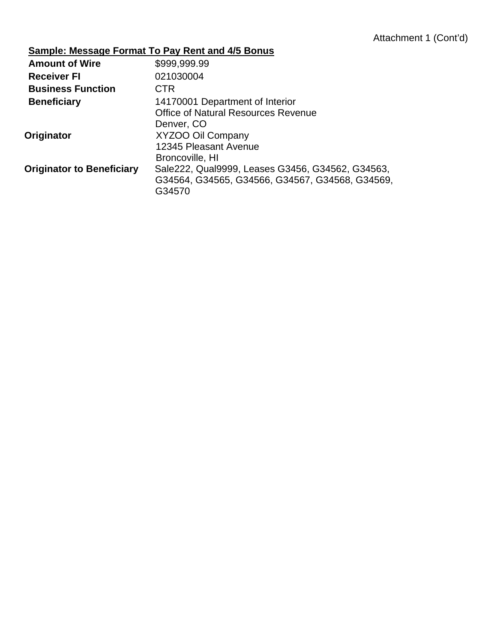# **Sample: Message Format To Pay Rent and 4/5 Bonus**

| <b>Amount of Wire</b>            | \$999,999.99                                     |
|----------------------------------|--------------------------------------------------|
| <b>Receiver FI</b>               | 021030004                                        |
| <b>Business Function</b>         | <b>CTR</b>                                       |
| <b>Beneficiary</b>               | 14170001 Department of Interior                  |
|                                  | <b>Office of Natural Resources Revenue</b>       |
|                                  | Denver, CO                                       |
| Originator                       | XYZOO Oil Company                                |
|                                  | 12345 Pleasant Avenue                            |
|                                  | Broncoville, HI                                  |
| <b>Originator to Beneficiary</b> | Sale222, Qual9999, Leases G3456, G34562, G34563, |
|                                  | G34564, G34565, G34566, G34567, G34568, G34569,  |
|                                  | G34570                                           |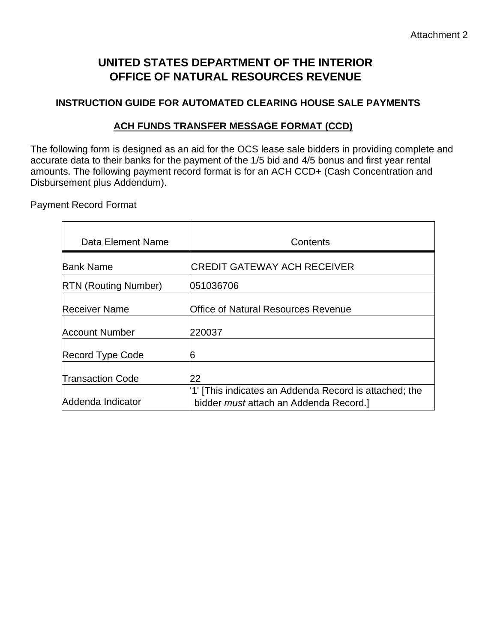# **UNITED STATES DEPARTMENT OF THE INTERIOR OFFICE OF NATURAL RESOURCES REVENUE**

## **INSTRUCTION GUIDE FOR AUTOMATED CLEARING HOUSE SALE PAYMENTS**

## **ACH FUNDS TRANSFER MESSAGE FORMAT (CCD)**

The following form is designed as an aid for the OCS lease sale bidders in providing complete and accurate data to their banks for the payment of the 1/5 bid and 4/5 bonus and first year rental amounts. The following payment record format is for an ACH CCD+ (Cash Concentration and Disbursement plus Addendum).

Payment Record Format

| Data Element Name           | Contents                                                                                                |
|-----------------------------|---------------------------------------------------------------------------------------------------------|
| <b>Bank Name</b>            | <b>CREDIT GATEWAY ACH RECEIVER</b>                                                                      |
| <b>RTN (Routing Number)</b> | 051036706                                                                                               |
| <b>Receiver Name</b>        | Office of Natural Resources Revenue                                                                     |
| <b>Account Number</b>       | 220037                                                                                                  |
| Record Type Code            | 6                                                                                                       |
| <b>Transaction Code</b>     | 22                                                                                                      |
| Addenda Indicator           | '1' [This indicates an Addenda Record is attached; the<br>bidder <i>must</i> attach an Addenda Record.] |